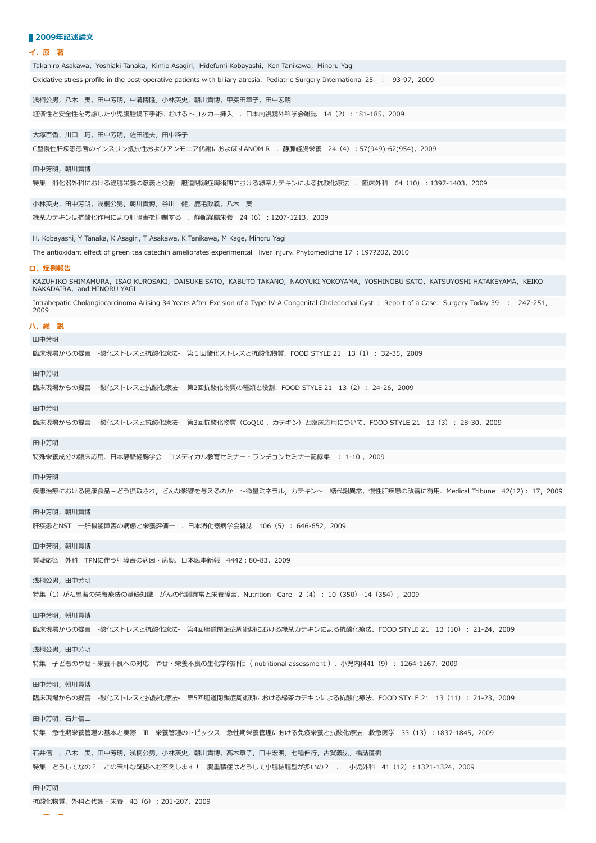## ■ 2009年記述論文

### **イ.原 著**

| Takahiro Asakawa, Yoshiaki Tanaka, Kimio Asagiri, Hidefumi Kobayashi, Ken Tanikawa, Minoru Yagi                                                                   |
|-------------------------------------------------------------------------------------------------------------------------------------------------------------------|
| Oxidative stress profile in the post-operative patients with biliary atresia. Pediatric Surgery International 25 : 93-97, 2009                                    |
| 浅桐公男,八木 実,田中芳明,中溝博隆,小林英史,朝川貴博,甲斐田章子,田中宏明                                                                                                                          |
| 経済性と安全性を考慮した小児腹腔鏡下手術におけるトロッカー挿入 . 日本内視鏡外科学会雑誌 14(2):181-185, 2009                                                                                                 |
|                                                                                                                                                                   |
| 大塚百香,川口 巧,田中芳明,佐田通夫,田中粹子                                                                                                                                          |
| C型慢性肝疾患患者のインスリン抵抗性およびアンモニア代謝におよぼすANOM R . 静脈経腸栄養 24(4) : 57(949)-62(954), 2009                                                                                    |
| 田中芳明,朝川貴博                                                                                                                                                         |
| 特集 消化器外科における経腸栄養の意義と役割 胆道閉鎖症周術期における緑茶カテキンによる抗酸化療法 . 臨床外科 64 (10) : 1397-1403, 2009                                                                                |
|                                                                                                                                                                   |
| 小林英史,田中芳明,浅桐公男,朝川貴博,谷川 健,鹿毛政義,八木 実                                                                                                                                |
| 緑茶カテキンは抗酸化作用により肝障害を抑制する . 静脈経腸栄養 24(6):1207-1213, 2009                                                                                                            |
| H. Kobayashi, Y Tanaka, K Asagiri, T Asakawa, K Tanikawa, M Kage, Minoru Yagi                                                                                     |
| The antioxidant effect of green tea catechin ameliorates experimental liver injury. Phytomedicine 17 : 197?202, 2010                                              |
| 口.症例報告                                                                                                                                                            |
| KAZUHIKO SHIMAMURA, ISAO KUROSAKI, DAISUKE SATO, KABUTO TAKANO, NAOYUKI YOKOYAMA, YOSHINOBU SATO, KATSUYOSHI HATAKEYAMA, KEIKO<br>NAKADAIRA, and MINORU YAGI      |
| Intrahepatic Cholangiocarcinoma Arising 34 Years After Excision of a Type IV-A Congenital Choledochal Cyst: Report of a Case. Surgery Today 39 : 247-251,<br>2009 |
| 八.総 説                                                                                                                                                             |
| 田中芳明                                                                                                                                                              |
| 臨床現場からの提言 -酸化ストレスと抗酸化療法- 第1回酸化ストレスと抗酸化物質.FOOD STYLE 21 13(1): 32-35,2009                                                                                          |
|                                                                                                                                                                   |
| 田中芳明                                                                                                                                                              |
| 臨床現場からの提言 -酸化ストレスと抗酸化療法- 第2回抗酸化物質の種類と役割.FOOD STYLE 21 13(2): 24-26,2009                                                                                           |
| 田中芳明                                                                                                                                                              |
| 臨床現場からの提言 -酸化ストレスと抗酸化療法- 第3回抗酸化物質(CoQ10 、カテキン)と臨床応用について.FOOD STYLE 21 13(3): 28-30,2009                                                                           |
| 田中芳明                                                                                                                                                              |
| 特殊栄養成分の臨床応用.日本静脈経腸学会 コメディカル教育セミナー・ランチョンセミナー記録集 : 1-10 , 2009                                                                                                      |
| 田中芳明                                                                                                                                                              |
| 疾患治療における健康食品-どう摂取され,どんな影響を与えるのか ~微量ミネラル,カテキン~ 糖代謝異常,慢性肝疾患の改善に有用.Medical Tribune 42(12): 17,2009                                                                   |
|                                                                                                                                                                   |
| 田中芳明,朝川貴博                                                                                                                                                         |
| 肝疾患とNST 一肝機能障害の病態と栄養評価― . 日本消化器病学会雑誌 106(5): 646-652, 2009                                                                                                        |
| 田中芳明,朝川貴博                                                                                                                                                         |
| 質疑応答 外科 TPNに伴う肝障害の病因・病態.日本医事新報 4442:80-83,2009                                                                                                                    |
|                                                                                                                                                                   |
| 浅桐公男,田中芳明                                                                                                                                                         |
| 特集(1)がん患者の栄養療法の基礎知識 がんの代謝異常と栄養障害.Nutrition Care 2(4) : 10(350)-14(354), 2009                                                                                      |
| 田中芳明, 朝川貴博                                                                                                                                                        |
| 臨床現場からの提言 -酸化ストレスと抗酸化療法- 第4回胆道閉鎖症周術期における緑茶カテキンによる抗酸化療法.FOOD STYLE 21 13(10):21-24,2009                                                                            |
| 浅桐公男,田中芳明                                                                                                                                                         |
| 特集 子どものやせ・栄養不良への対応 やせ・栄養不良の生化学的評価( nutritional assessment ).小児内科41(9): 1264-1267,2009                                                                             |
|                                                                                                                                                                   |
| 田中芳明,朝川貴博                                                                                                                                                         |
| 臨床現場からの提言 -酸化ストレスと抗酸化療法- 第5回胆道閉鎖症周術期における緑茶カテキンによる抗酸化療法.FOOD STYLE 21 13(11): 21-23,2009                                                                           |
| 田中芳明,石井信二                                                                                                                                                         |
| 特集 急性期栄養管理の基本と実際 Ⅲ 栄養管理のトピックス 急性期栄養管理における免疫栄養と抗酸化療法.救急医学 33(13):1837-1845,2009                                                                                    |
|                                                                                                                                                                   |
| 石井信二,八木 実,田中芳明,浅桐公男,小林英史,朝川貴博,髙木章子,田中宏明,七種伸行,古賀義法,橋詰直樹                                                                                                            |
| 特集 どうしてなの? この素朴な疑問へお答えします! 腸重積症はどうして小腸結腸型が多いの? . 小児外科 41(12):1321-1324, 2009                                                                                      |
| 田中芳明                                                                                                                                                              |
| 抗酸化物質.外科と代謝・栄養 43(6):201-207,2009                                                                                                                                 |